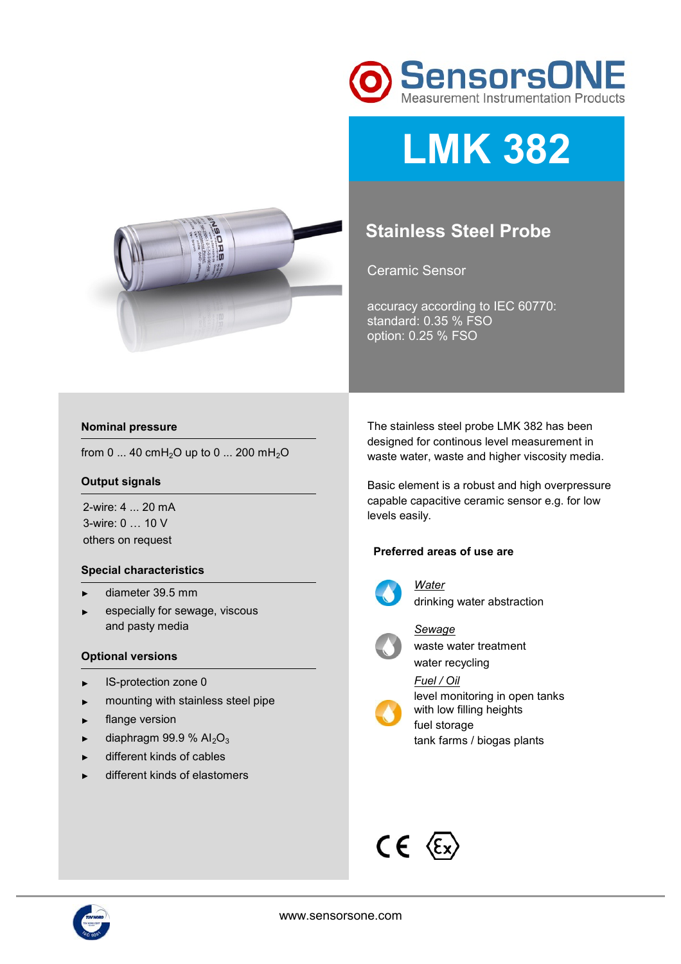

# **LMK 382**



Ceramic Sensor

accuracy according to IEC 60770: standard: 0.35 % FSO option: 0.25 % FSO



from 0 ... 40 cmH<sub>2</sub>O up to 0 ... 200 mH<sub>2</sub>O

#### **Output signals**

2-wire: 4 ... 20 mA 3-wire: 0 … 10 V others on request

#### **Special characteristics**

- ► diameter 39.5 mm
- ► especially for sewage, viscous and pasty media

#### **Optional versions**

- ► IS-protection zone 0
- ► mounting with stainless steel pipe
- ► flange version
- $\blacktriangleright$  diaphragm 99.9 % Al<sub>2</sub>O<sub>3</sub>
- ► different kinds of cables
- different kinds of elastomers

The stainless steel probe LMK 382 has been designed for continous level measurement in waste water, waste and higher viscosity media.

Basic element is a robust and high overpressure capable capacitive ceramic sensor e.g. for low levels easily.

#### **Preferred areas of use are**



*Water*  drinking water abstraction



*Sewage*  waste water treatment water recycling

*Fuel / Oil* 



level monitoring in open tanks with low filling heights fuel storage



## $CE \n\in \mathbb{C}$

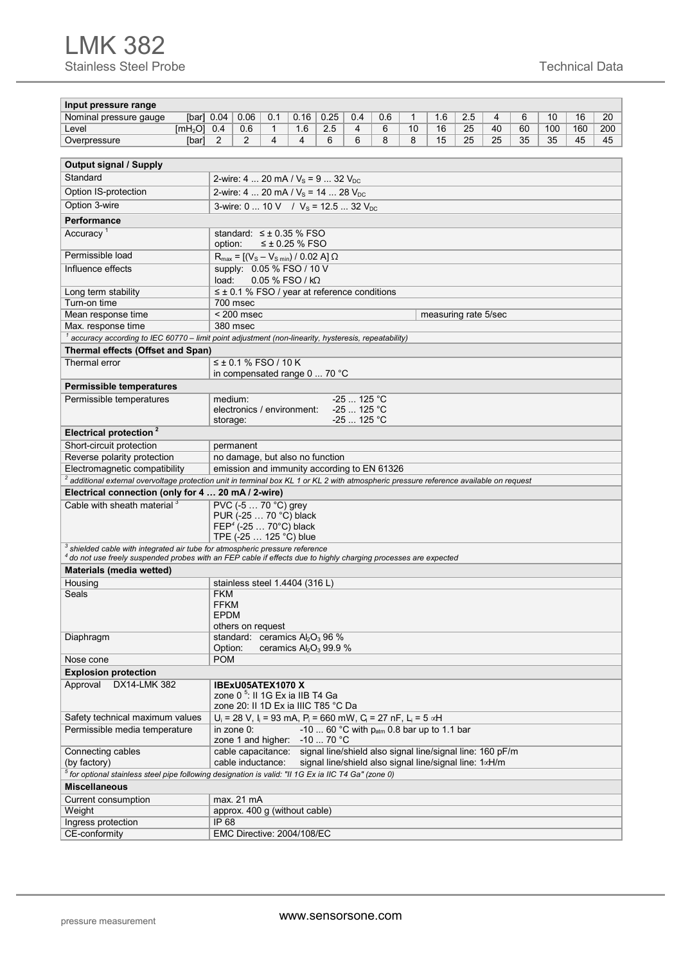### LMK 382 Stainless Steel Probe Technical Data

| Input pressure range                                                                                                                                                                                                               |                                                              |                                                                                           |                |                  |                           |                             |                                                           |    |     |                      |    |    |     |     |     |
|------------------------------------------------------------------------------------------------------------------------------------------------------------------------------------------------------------------------------------|--------------------------------------------------------------|-------------------------------------------------------------------------------------------|----------------|------------------|---------------------------|-----------------------------|-----------------------------------------------------------|----|-----|----------------------|----|----|-----|-----|-----|
| Nominal pressure gauge                                                                                                                                                                                                             | [bar] $0.04$                                                 | 0.06                                                                                      | 0.1            | 0.16             | 0.25                      | 0.4                         | 0.6                                                       | 1  | 1.6 | 2.5                  | 4  | 6  | 10  | 16  | 20  |
| Level<br>$[mH2O]$ 0.4                                                                                                                                                                                                              |                                                              | 0.6                                                                                       | $\mathbf{1}$   | 1.6              | 2.5                       | $\overline{4}$              | 6                                                         | 10 | 16  | 25                   | 40 | 60 | 100 | 160 | 200 |
| Overpressure<br>[bar]                                                                                                                                                                                                              | 2                                                            | 2                                                                                         | $\overline{4}$ | 4                | 6                         | 6                           | 8                                                         | 8  | 15  | 25                   | 25 | 35 | 35  | 45  | 45  |
|                                                                                                                                                                                                                                    |                                                              |                                                                                           |                |                  |                           |                             |                                                           |    |     |                      |    |    |     |     |     |
| <b>Output signal / Supply</b>                                                                                                                                                                                                      |                                                              |                                                                                           |                |                  |                           |                             |                                                           |    |     |                      |    |    |     |     |     |
| Standard<br>2-wire: 4  20 mA / $V_s$ = 9  32 $V_{DC}$                                                                                                                                                                              |                                                              |                                                                                           |                |                  |                           |                             |                                                           |    |     |                      |    |    |     |     |     |
| Option IS-protection                                                                                                                                                                                                               |                                                              |                                                                                           |                |                  |                           |                             |                                                           |    |     |                      |    |    |     |     |     |
| Option 3-wire                                                                                                                                                                                                                      |                                                              | 2-wire: 4  20 mA / $V_s$ = 14  28 $V_{DC}$<br>3-wire: 0  10 V / $V_s$ = 12.5  32 $V_{DC}$ |                |                  |                           |                             |                                                           |    |     |                      |    |    |     |     |     |
|                                                                                                                                                                                                                                    |                                                              |                                                                                           |                |                  |                           |                             |                                                           |    |     |                      |    |    |     |     |     |
| Performance                                                                                                                                                                                                                        |                                                              |                                                                                           |                |                  |                           |                             |                                                           |    |     |                      |    |    |     |     |     |
| Accuracy <sup>1</sup>                                                                                                                                                                                                              |                                                              | standard: $\leq \pm 0.35$ % FSO                                                           |                |                  |                           |                             |                                                           |    |     |                      |    |    |     |     |     |
|                                                                                                                                                                                                                                    | option:                                                      |                                                                                           |                | $≤$ ± 0.25 % FSO |                           |                             |                                                           |    |     |                      |    |    |     |     |     |
| Permissible load                                                                                                                                                                                                                   |                                                              | $R_{max} = [(V_s - V_{s min}) / 0.02 A] \Omega$                                           |                |                  |                           |                             |                                                           |    |     |                      |    |    |     |     |     |
| Influence effects                                                                                                                                                                                                                  |                                                              | supply: 0.05 % FSO / 10 V                                                                 |                |                  |                           |                             |                                                           |    |     |                      |    |    |     |     |     |
|                                                                                                                                                                                                                                    | load:                                                        |                                                                                           |                | 0.05 % FSO / kΩ  |                           |                             |                                                           |    |     |                      |    |    |     |     |     |
| Long term stability                                                                                                                                                                                                                |                                                              | $\leq \pm 0.1$ % FSO / year at reference conditions                                       |                |                  |                           |                             |                                                           |    |     |                      |    |    |     |     |     |
| Turn-on time                                                                                                                                                                                                                       |                                                              | 700 msec                                                                                  |                |                  |                           |                             |                                                           |    |     |                      |    |    |     |     |     |
| Mean response time                                                                                                                                                                                                                 |                                                              | $< 200$ msec<br>380 msec                                                                  |                |                  |                           |                             |                                                           |    |     | measuring rate 5/sec |    |    |     |     |     |
| Max. response time                                                                                                                                                                                                                 |                                                              |                                                                                           |                |                  |                           |                             |                                                           |    |     |                      |    |    |     |     |     |
| accuracy according to IEC 60770 - limit point adjustment (non-linearity, hysteresis, repeatability)                                                                                                                                |                                                              |                                                                                           |                |                  |                           |                             |                                                           |    |     |                      |    |    |     |     |     |
| Thermal effects (Offset and Span)                                                                                                                                                                                                  |                                                              |                                                                                           |                |                  |                           |                             |                                                           |    |     |                      |    |    |     |     |     |
| Thermal error                                                                                                                                                                                                                      |                                                              | $≤$ ± 0.1 % FSO / 10 K                                                                    |                |                  |                           |                             |                                                           |    |     |                      |    |    |     |     |     |
|                                                                                                                                                                                                                                    |                                                              | in compensated range 0  70 °C                                                             |                |                  |                           |                             |                                                           |    |     |                      |    |    |     |     |     |
| <b>Permissible temperatures</b>                                                                                                                                                                                                    |                                                              |                                                                                           |                |                  |                           |                             |                                                           |    |     |                      |    |    |     |     |     |
| Permissible temperatures                                                                                                                                                                                                           | medium:                                                      |                                                                                           |                |                  |                           | $-25$ 125 °C                |                                                           |    |     |                      |    |    |     |     |     |
|                                                                                                                                                                                                                                    |                                                              | electronics / environment:                                                                |                |                  |                           | $-25$ 125 °C<br>-25  125 °C |                                                           |    |     |                      |    |    |     |     |     |
|                                                                                                                                                                                                                                    | storage:                                                     |                                                                                           |                |                  |                           |                             |                                                           |    |     |                      |    |    |     |     |     |
| Electrical protection <sup>2</sup>                                                                                                                                                                                                 |                                                              |                                                                                           |                |                  |                           |                             |                                                           |    |     |                      |    |    |     |     |     |
| Short-circuit protection                                                                                                                                                                                                           |                                                              | permanent                                                                                 |                |                  |                           |                             |                                                           |    |     |                      |    |    |     |     |     |
| Reverse polarity protection                                                                                                                                                                                                        |                                                              | no damage, but also no function                                                           |                |                  |                           |                             |                                                           |    |     |                      |    |    |     |     |     |
| Electromagnetic compatibility<br>emission and immunity according to EN 61326<br><sup>2</sup> additional external overvoltage protection unit in terminal box KL 1 or KL 2 with atmospheric pressure reference available on request |                                                              |                                                                                           |                |                  |                           |                             |                                                           |    |     |                      |    |    |     |     |     |
|                                                                                                                                                                                                                                    |                                                              |                                                                                           |                |                  |                           |                             |                                                           |    |     |                      |    |    |     |     |     |
| Electrical connection (only for 4  20 mA / 2-wire)                                                                                                                                                                                 |                                                              |                                                                                           |                |                  |                           |                             |                                                           |    |     |                      |    |    |     |     |     |
| Cable with sheath material 3                                                                                                                                                                                                       |                                                              | PVC (-5  70 °C) grey                                                                      |                |                  |                           |                             |                                                           |    |     |                      |    |    |     |     |     |
|                                                                                                                                                                                                                                    | PUR (-25  70 °C) black<br>FEP <sup>4</sup> (-25  70°C) black |                                                                                           |                |                  |                           |                             |                                                           |    |     |                      |    |    |     |     |     |
|                                                                                                                                                                                                                                    |                                                              |                                                                                           |                |                  |                           |                             |                                                           |    |     |                      |    |    |     |     |     |
| TPE (-25  125 °C) blue<br><sup>3</sup> shielded cable with integrated air tube for atmospheric pressure reference                                                                                                                  |                                                              |                                                                                           |                |                  |                           |                             |                                                           |    |     |                      |    |    |     |     |     |
| 4 do not use freely suspended probes with an FEP cable if effects due to highly charging processes are expected                                                                                                                    |                                                              |                                                                                           |                |                  |                           |                             |                                                           |    |     |                      |    |    |     |     |     |
| Materials (media wetted)                                                                                                                                                                                                           |                                                              |                                                                                           |                |                  |                           |                             |                                                           |    |     |                      |    |    |     |     |     |
| Housing                                                                                                                                                                                                                            |                                                              | stainless steel 1.4404 (316 L)                                                            |                |                  |                           |                             |                                                           |    |     |                      |    |    |     |     |     |
| Seals                                                                                                                                                                                                                              | <b>FKM</b>                                                   |                                                                                           |                |                  |                           |                             |                                                           |    |     |                      |    |    |     |     |     |
|                                                                                                                                                                                                                                    | <b>FFKM</b>                                                  |                                                                                           |                |                  |                           |                             |                                                           |    |     |                      |    |    |     |     |     |
|                                                                                                                                                                                                                                    | EPDM                                                         |                                                                                           |                |                  |                           |                             |                                                           |    |     |                      |    |    |     |     |     |
|                                                                                                                                                                                                                                    | others on request                                            |                                                                                           |                |                  |                           |                             |                                                           |    |     |                      |    |    |     |     |     |
| Diaphragm                                                                                                                                                                                                                          |                                                              | standard: ceramics Al <sub>2</sub> O <sub>3</sub> 96 %                                    |                |                  |                           |                             |                                                           |    |     |                      |    |    |     |     |     |
|                                                                                                                                                                                                                                    | Option:                                                      |                                                                                           |                |                  | ceramics $Al_2O_3$ 99.9 % |                             |                                                           |    |     |                      |    |    |     |     |     |
| <b>POM</b><br>Nose cone                                                                                                                                                                                                            |                                                              |                                                                                           |                |                  |                           |                             |                                                           |    |     |                      |    |    |     |     |     |
| <b>Explosion protection</b>                                                                                                                                                                                                        |                                                              |                                                                                           |                |                  |                           |                             |                                                           |    |     |                      |    |    |     |     |     |
| Approval<br>DX14-LMK 382                                                                                                                                                                                                           |                                                              | IBExU05ATEX1070 X                                                                         |                |                  |                           |                             |                                                           |    |     |                      |    |    |     |     |     |
|                                                                                                                                                                                                                                    |                                                              | zone 0 <sup>5</sup> : Il 1G Ex ia IIB T4 Ga<br>zone 20: II 1D Ex ia IIIC T85 °C Da        |                |                  |                           |                             |                                                           |    |     |                      |    |    |     |     |     |
|                                                                                                                                                                                                                                    |                                                              |                                                                                           |                |                  |                           |                             |                                                           |    |     |                      |    |    |     |     |     |
| Safety technical maximum values                                                                                                                                                                                                    |                                                              | $U_i = 28$ V, $I_i = 93$ mA, $P_i = 660$ mW, $C_i = 27$ nF, $L_i = 5$ $\alpha H$          |                |                  |                           |                             |                                                           |    |     |                      |    |    |     |     |     |
| Permissible media temperature                                                                                                                                                                                                      |                                                              | in zone 0:<br>zone 1 and higher: -10  70 °C                                               |                |                  |                           |                             | -10  60 °C with $p_{atm}$ 0.8 bar up to 1.1 bar           |    |     |                      |    |    |     |     |     |
| Connecting cables                                                                                                                                                                                                                  |                                                              | cable capacitance:                                                                        |                |                  |                           |                             | signal line/shield also signal line/signal line: 160 pF/m |    |     |                      |    |    |     |     |     |
| (by factory)                                                                                                                                                                                                                       |                                                              | cable inductance:                                                                         |                |                  |                           |                             | signal line/shield also signal line/signal line: 1xH/m    |    |     |                      |    |    |     |     |     |
| <sup>5</sup> for optional stainless steel pipe following designation is valid: "Il 1G Ex ia IIC T4 Ga" (zone 0)                                                                                                                    |                                                              |                                                                                           |                |                  |                           |                             |                                                           |    |     |                      |    |    |     |     |     |
| <b>Miscellaneous</b>                                                                                                                                                                                                               |                                                              |                                                                                           |                |                  |                           |                             |                                                           |    |     |                      |    |    |     |     |     |
| Current consumption                                                                                                                                                                                                                |                                                              | max. 21 mA                                                                                |                |                  |                           |                             |                                                           |    |     |                      |    |    |     |     |     |
| Weight                                                                                                                                                                                                                             |                                                              | approx. 400 g (without cable)                                                             |                |                  |                           |                             |                                                           |    |     |                      |    |    |     |     |     |
| Ingress protection                                                                                                                                                                                                                 | IP 68                                                        |                                                                                           |                |                  |                           |                             |                                                           |    |     |                      |    |    |     |     |     |
| CE-conformity                                                                                                                                                                                                                      |                                                              | EMC Directive: 2004/108/EC                                                                |                |                  |                           |                             |                                                           |    |     |                      |    |    |     |     |     |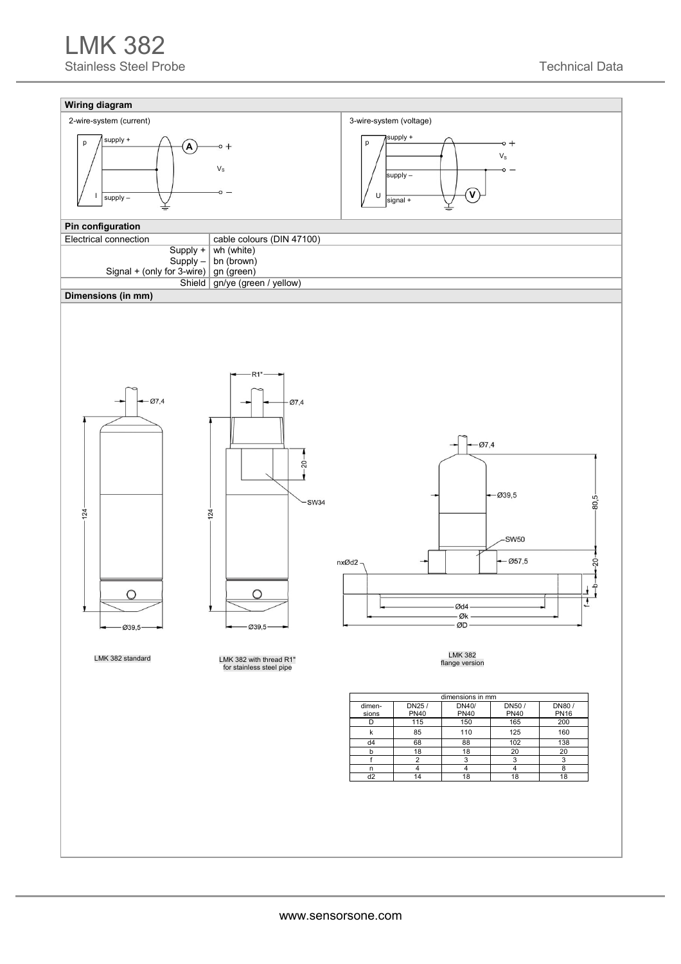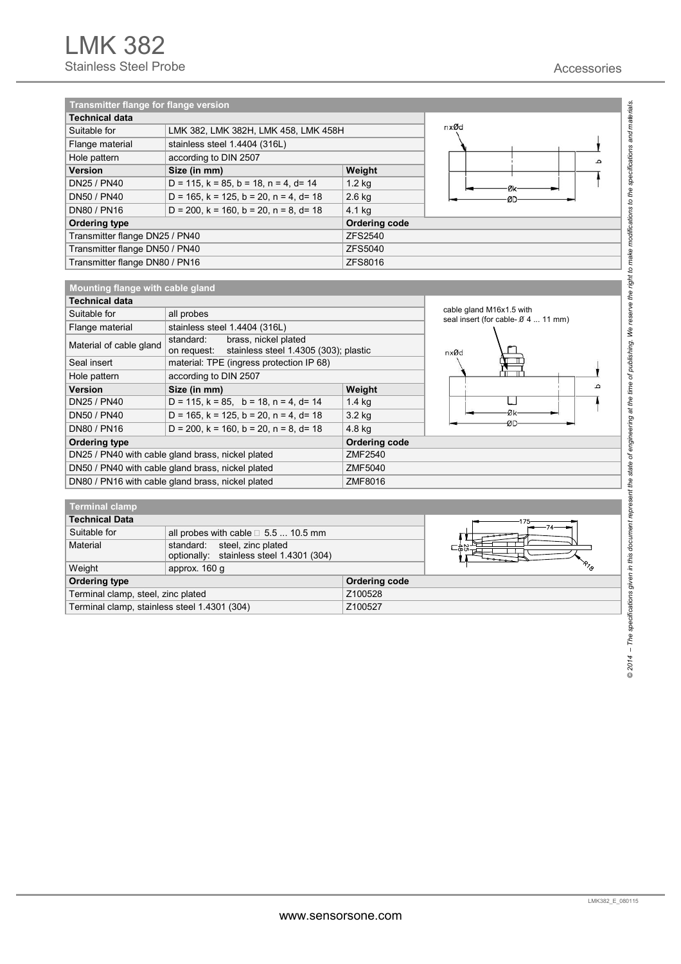| Transmitter flange for flange version |                                                       |                      |  |  |  |  |  |
|---------------------------------------|-------------------------------------------------------|----------------------|--|--|--|--|--|
| <b>Technical data</b>                 |                                                       |                      |  |  |  |  |  |
| Suitable for                          | LMK 382, LMK 382H, LMK 458, LMK 458H                  | nxØd                 |  |  |  |  |  |
| Flange material                       | stainless steel 1.4404 (316L)                         |                      |  |  |  |  |  |
| Hole pattern                          | according to DIN 2507                                 | ٠                    |  |  |  |  |  |
| <b>Version</b>                        | Size (in mm)                                          | Weight               |  |  |  |  |  |
| DN25 / PN40                           | $D = 115$ , $k = 85$ , $b = 18$ , $n = 4$ , $d = 14$  | $1.2$ kg             |  |  |  |  |  |
| DN50 / PN40                           | D = 165, $k = 125$ , $b = 20$ , $n = 4$ , $d = 18$    | $2.6$ kg             |  |  |  |  |  |
| DN80 / PN16                           | $D = 200$ , $k = 160$ , $b = 20$ , $n = 8$ , $d = 18$ |                      |  |  |  |  |  |
| <b>Ordering type</b>                  |                                                       | <b>Ordering code</b> |  |  |  |  |  |
| Transmitter flange DN25 / PN40        |                                                       | ZFS2540              |  |  |  |  |  |
| Transmitter flange DN50 / PN40        |                                                       | <b>ZFS5040</b>       |  |  |  |  |  |
| Transmitter flange DN80 / PN16        |                                                       | <b>ZFS8016</b>       |  |  |  |  |  |

| Mounting flange with cable gland |                                                                                           |                                                                       |    |  |  |  |  |
|----------------------------------|-------------------------------------------------------------------------------------------|-----------------------------------------------------------------------|----|--|--|--|--|
| Technical data                   |                                                                                           |                                                                       |    |  |  |  |  |
| Suitable for                     | all probes                                                                                | cable gland M16x1.5 with<br>seal insert (for cable- $\beta$ 4  11 mm) |    |  |  |  |  |
| Flange material                  | stainless steel 1.4404 (316L)                                                             |                                                                       |    |  |  |  |  |
| Material of cable gland          | brass, nickel plated<br>standard:<br>stainless steel 1.4305 (303); plastic<br>on request: | nxØd                                                                  |    |  |  |  |  |
| Seal insert                      | material: TPE (ingress protection IP 68)                                                  |                                                                       |    |  |  |  |  |
| Hole pattern                     | according to DIN 2507                                                                     |                                                                       |    |  |  |  |  |
| <b>Version</b>                   | Size (in mm)                                                                              | Weight                                                                | ء  |  |  |  |  |
| DN25 / PN40                      | $D = 115$ , $k = 85$ , $b = 18$ , $n = 4$ , $d = 14$                                      | $1.4$ kg                                                              |    |  |  |  |  |
| DN50 / PN40                      | $D = 165$ , $k = 125$ , $b = 20$ , $n = 4$ , $d = 18$                                     | 3.2 kg                                                                | Øk |  |  |  |  |
| DN80 / PN16                      | $D = 200$ , $k = 160$ , $b = 20$ , $n = 8$ , $d = 18$                                     | -ØD                                                                   |    |  |  |  |  |
| <b>Ordering type</b>             |                                                                                           | <b>Ordering code</b>                                                  |    |  |  |  |  |
|                                  | DN25 / PN40 with cable gland brass, nickel plated                                         | ZMF2540                                                               |    |  |  |  |  |
|                                  | DN50 / PN40 with cable gland brass, nickel plated                                         | ZMF5040                                                               |    |  |  |  |  |
|                                  | DN80 / PN16 with cable gland brass, nickel plated                                         | ZMF8016                                                               |    |  |  |  |  |
|                                  |                                                                                           | 4.8 kg                                                                |    |  |  |  |  |

| <b>Terminal clamp</b>                                        |                                                                             |                      |                         |  |  |  |  |  |
|--------------------------------------------------------------|-----------------------------------------------------------------------------|----------------------|-------------------------|--|--|--|--|--|
| ∣ Technical Data                                             |                                                                             |                      |                         |  |  |  |  |  |
| Suitable for<br>all probes with cable $\square$ 5.5  10.5 mm |                                                                             |                      |                         |  |  |  |  |  |
| Material                                                     | steel, zinc plated<br>standard:<br>optionally: stainless steel 1.4301 (304) |                      | $-\overline{\omega}$ or |  |  |  |  |  |
| Weight                                                       | approx. 160 q                                                               | $r_{z_{\alpha}}$     |                         |  |  |  |  |  |
| <b>Ordering type</b>                                         |                                                                             | <b>Ordering code</b> |                         |  |  |  |  |  |
| Terminal clamp, steel, zinc plated                           |                                                                             | Z100528              |                         |  |  |  |  |  |
| Terminal clamp, stainless steel 1.4301 (304)                 |                                                                             | Z100527              |                         |  |  |  |  |  |